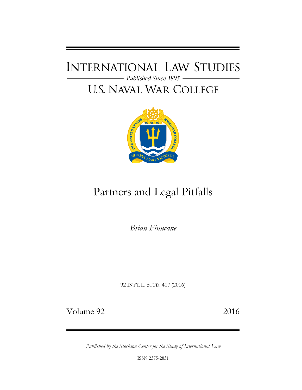# **INTERNATIONAL LAW STUDIES** - Published Since 1895

# **U.S. NAVAL WAR COLLEGE**



# Partners and Legal Pitfalls

*Brian Finucane*

92 INT'L L. STUD. 407 (2016)

Volume 92 2016

*Published by the Stockton Center for the Study of International Law*

ISSN 2375-2831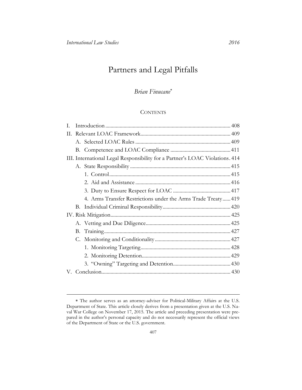# Partners and Legal Pitfalls

## *Brian Finucane*

### **CONTENTS**

| $\mathbf{L}$                                                                 |    |                                                              |  |
|------------------------------------------------------------------------------|----|--------------------------------------------------------------|--|
| H.                                                                           |    |                                                              |  |
|                                                                              |    |                                                              |  |
|                                                                              |    |                                                              |  |
| III. International Legal Responsibility for a Partner's LOAC Violations. 414 |    |                                                              |  |
|                                                                              |    |                                                              |  |
|                                                                              |    |                                                              |  |
|                                                                              |    |                                                              |  |
|                                                                              |    |                                                              |  |
|                                                                              |    | 4. Arms Transfer Restrictions under the Arms Trade Treaty419 |  |
|                                                                              |    |                                                              |  |
|                                                                              |    |                                                              |  |
|                                                                              |    |                                                              |  |
|                                                                              |    |                                                              |  |
|                                                                              | C. |                                                              |  |
|                                                                              |    |                                                              |  |
|                                                                              |    |                                                              |  |
|                                                                              |    |                                                              |  |
|                                                                              |    |                                                              |  |

The author serves as an attorney-adviser for Political-Military Affairs at the U.S. Department of State. This article closely derives from a presentation given at the U.S. Naval War College on November 17, 2015. The article and preceding presentation were prepared in the author's personal capacity and do not necessarily represent the official views of the Department of State or the U.S. government.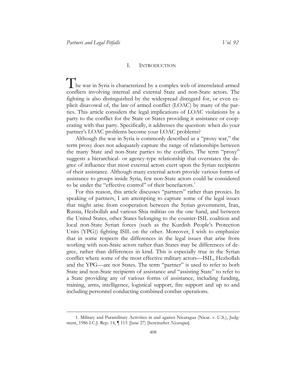#### I. INTRODUCTION

<span id="page-2-0"></span>The war in Syria is characterized by a complex web of interrelated armed In the law of arms and the law and the law and the law and the law fighting is also distinguished by the widespread disregard for, or even explicit disavowal of, the law of armed conflict (LOAC) by many of the parconflicts involving internal and external State and non-State actors. The fighting is also distinguished by the widespread disregard for, or even exties. This article considers the legal implications of LOAC violations by a party to the conflict for the State or States providing it assistance or cooperating with that party. Specifically, it addresses the question: when do your partner's LOAC problems become your LOAC problems?

Although the war in Syria is commonly described as a "proxy war," the term proxy does not adequately capture the range of relationships between the many State and non-State parties to the conflicts. The term "proxy" suggests a hierarchical- or agency-type relationship that overstates the degree of influence that most external actors exert upon the Syrian recipients of their assistance. Although many external actors provide various forms of assistance to groups inside Syria, few non-State actors could be considered to be under the "effective control" of their benefactors.<sup>1</sup>

For this reason, this article discusses "partners" rather than proxies. In speaking of partners, I am attempting to capture some of the legal issues that might arise from cooperation between the Syrian government, Iran, Russia, Hezbollah and various Shia militias on the one hand, and between the United States, other States belonging to the counter-ISIL coalition and local non-State Syrian forces (such as the Kurdish People's Protection Units (YPG)) fighting ISIL on the other. Moreover, I wish to emphasize that in some respects the differences in the legal issues that arise from working with non-State actors rather than States may be differences of degree, rather than differences in kind. This is especially true in the Syrian conflict where some of the most effective military actors—ISIL, Hezbollah and the YPG—are not States. The term "partner" is used to refer to both State and non-State recipients of assistance and "assisting State" to refer to a State providing any of various forms of assistance, including funding, training, arms, intelligence, logistical support, fire support and up to and including personnel conducting combined combat operations.

<sup>1.</sup> Military and Paramilitary Activities in and against Nicaragua (Nicar. v. U.S.), Judgment, 1986 I.C.J. Rep. 14, ¶ 115 (June 27) [hereinafter *Nicaragua*].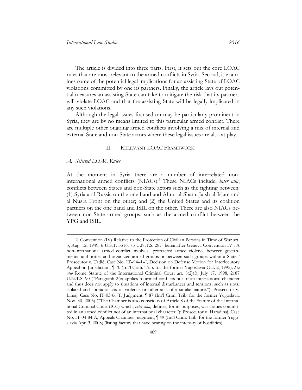The article is divided into three parts. First, it sets out the core LOAC rules that are most relevant to the armed conflicts in Syria. Second, it examines some of the potential legal implications for an assisting State of LOAC violations committed by one its partners. Finally, the article lays out potential measures an assisting State can take to mitigate the risk that its partners will violate LOAC and that the assisting State will be legally implicated in any such violations.

Although the legal issues focused on may be particularly prominent in Syria, they are by no means limited to this particular armed conflict. There are multiple other ongoing armed conflicts involving a mix of internal and external State and non-State actors where these legal issues are also at play.

#### II. RELEVANT LOAC FRAMEWORK

#### <span id="page-3-1"></span><span id="page-3-0"></span>*A. Selected LOAC Rules*

 $\overline{a}$ 

At the moment in Syria there are a number of interrelated noninternational armed conflicts (NIACs).<sup>2</sup> These NIACs include, *inter alia*, conflicts between States and non-State actors such as the fighting between: (1) Syria and Russia on the one hand and Ahrar al-Sham, Jaish al-Islam and al Nusra Front on the other; and (2) the United States and its coalition partners on the one hand and ISIL on the other. There are also NIACs between non-State armed groups, such as the armed conflict between the YPG and ISIL.

<sup>2.</sup> Convention (IV) Relative to the Protection of Civilian Persons in Time of War art. 3, Aug. 12, 1949, 6 U.S.T. 3516, 75 U.N.T.S. 287 [hereinafter Geneva Convention IV]. A non-international armed conflict involves "protracted armed violence between governmental authorities and organized armed groups or between such groups within a State." Prosecutor v. Tadić, Case No. IT–94–1–I, Decision on Defense Motion for Interlocutory Appeal on Jurisdiction, ¶ 70 (Int'l Crim. Trib. for the former Yugoslavia Oct. 2, 1995). *See also* Rome Statute of the International Criminal Court art. 8(2)(f), July 17, 1998, 2187 U.N.T.S. 90 ("Paragraph 2(e) applies to armed conflicts not of an international character and thus does not apply to situations of internal disturbances and tensions, such as riots, isolated and sporadic acts of violence or other acts of a similar nature."); Prosecutor v. Limaj, Case No. IT-03-66-T, Judgment, ¶ 87 (Int'l Crim. Trib. for the former Yugoslavia Nov. 30, 2005) ("The Chamber is also conscious of Article 8 of the Statute of the International Criminal Court (ICC) which, *inter alia*, defines, for its purposes, war crimes committed in an armed conflict not of an international character."); Prosecutor v. Haradinaj, Case No. IT-04-84-A, Appeals Chamber Judgment, ¶ 49 (Int'l Crim. Trib. for the former Yugoslavia Apr. 3, 2008) (listing factors that have bearing on the intensity of hostilities).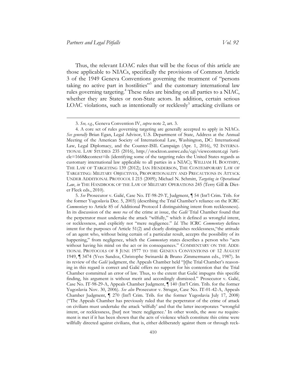Thus, the relevant LOAC rules that will be the focus of this article are those applicable to NIACs, specifically the provisions of Common Article 3 of the 1949 Geneva Conventions governing the treatment of "persons taking no active part in hostilities"<sup>3</sup> and the customary international law rules governing targeting.<sup>4</sup> These rules are binding on all parties to a NIAC, whether they are States or non-State actors. In addition, certain serious LOAC violations, such as intentionally or recklessly<sup>5</sup> attacking civilians or

<sup>3.</sup> *See, e.g.*, Geneva Convention IV, *supra* note 2, art. 3.

<sup>4.</sup> A core set of rules governing targeting are generally accepted to apply in NIACs. *See generally* Brian Egan, Legal Advisor, U.S. Department of State, Address at the Annual Meeting of the American Society of International Law, Washington, DC: International Law, Legal Diplomacy, and the Counter-ISIL Campaign (Apr. 1, 2016), 92 INTERNA-TIONAL LAW STUDIES 235 (2016), [http://stockton.usnwc.edu/cgi/viewcontent.cgi ?arti](http://stockton.usnwc.edu/cgi/viewcontent.cgi?article=1668&context=ils)[cle=1668&context=ils](http://stockton.usnwc.edu/cgi/viewcontent.cgi?article=1668&context=ils) (identifying some of the targeting rules the United States regards as customary international law applicable to all parties in a NIAC); WILLIAM H. BOOTHBY, THE LAW OF TARGETING 139 (2012); IAN HENDERSON, THE CONTEMPORARY LAW OF TARGETING: MILITARY OBJECTIVES, PROPORTIONALITY AND PRECAUTIONS IN ATTACK UNDER ADDITIONAL PROTOCOL I 215 (2009); Michael N. Schmitt, *Targeting in Operational Law*, *in* THE HANDBOOK OF THE LAW OF MILITARY OPERATIONS 245 (Terry Gill & Dieter Fleck eds., 2010).

<sup>5.</sup> *See* Prosecutor v. Galić, Case No. IT-98-29-T, Judgment, ¶ 54 (Int'l Crim. Trib. for the former Yugoslavia Dec. 5, 2003) (describing the Trial Chamber's reliance on the ICRC *Commentary* to Article 85 of Additional Protocol I distinguishing intent from recklessness). In its discussion of the *mens rea* of the crime at issue, the *Galić* Trial Chamber found that the perpetrator must undertake the attack "wilfully," which it defined as wrongful intent, or recklessness, and explicitly not "mere negligence." *Id.* The ICRC *Commentary* defines intent for the purposes of Article 51(2) and clearly distinguishes recklessness,"the attitude of an agent who, without being certain of a particular result, accepts the possibility of its happening," from negligence, which the *Commentary* states describes a person who "acts without having his mind on the act or its consequences." COMMENTARY ON THE ADDI-TIONAL PROTOCOLS OF 8 JUNE 1977 TO THE GENEVA CONVENTIONS OF 12 AUGUST 1949, ¶ 3474 (Yves Sandoz, Christophe Swinarski & Bruno Zimmermann eds., 1987). In its review of the *Galić* judgment, the Appeals Chamber held "[t]he Trial Chamber's reasoning in this regard is correct and Galić offers no support for his contention that the Trial Chamber committed an error of law. Thus, to the extent that Galić impugns this specific finding, his argument is without merit and accordingly dismissed." Prosecutor v. Galić, Case No. IT-98-29-A, Appeals Chamber Judgment, ¶ 140 (Int'l Crim. Trib. for the former Yugoslavia Nov. 30, 2006). *See also* Prosecutor v. Strugar, Case No. IT-01-42-A, Appeals Chamber Judgment, ¶ 270 (Int'l Crim. Trib. for the former Yugoslavia July 17, 2008) ("The Appeals Chamber has previously ruled that the perpetrator of the crime of attack on civilians must undertake the attack 'wilfully' and that the latter incorporates "wrongful intent, or recklessness, [but] not 'mere negligence.' In other words, the *mens rea* requirement is met if it has been shown that the acts of violence which constitute this crime were willfully directed against civilians, that is, either deliberately against them or through reck-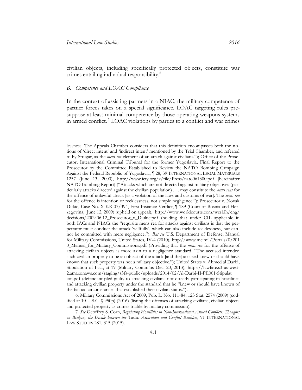civilian objects, including specifically protected objects, constitute war crimes entailing individual responsibility.<sup>6</sup>

### <span id="page-5-0"></span>*B. Competence and LOAC Compliance*

In the context of assisting partners in a NIAC, the military competence of partner forces takes on a special significance. LOAC targeting rules presuppose at least minimal competence by those operating weapons systems in armed conflict. <sup>7</sup> LOAC violations by parties to a conflict and war crimes

6. Military Commissions Act of 2009, Pub. L. No. 111-84, 123 Stat. 2574 (2009) (codified at 10 U.S.C. § 950p) (2016) (listing the offenses of attacking civilians, civilian objects and protected property as crimes triable by military commission).

7*. See* Geoffrey S. Corn, *Regulating Hostilities in Non-International Armed Conflicts: Thoughts on Bridging the Divide between the* Tadić *Aspiration and Conflict Realities*, 91 INTERNATIONAL LAW STUDIES 281, 315 (2015).

lessness. The Appeals Chamber considers that this definition encompasses both the notions of 'direct intent' and 'indirect intent' mentioned by the Trial Chamber, and referred to by Strugar, as the *mens rea* element of an attack against civilians."); Office of the Prosecutor, International Criminal Tribunal for the former Yugoslavia, Final Report to the Prosecutor by the Committee Established to Review the NATO Bombing Campaign Against the Federal Republic of Yugoslavia, ¶ 28, 39 INTERNATIONAL LEGAL MATERIALS 1257 (June 13, 2000), <http://www.icty.org/x/file/Press/nato061300.pdf> [hereinafter NATO Bombing Report] ("Attacks which are not directed against military objectives (particularly attacks directed against the civilian population) . . . may constitute the *actus reus* for the offence of unlawful attack [as a violation of the laws and customs of war]. The *mens rea* for the offence is intention or recklessness, not simple negligence."); Prosecutor v. Novak Dukic, Case No. X-KR-07/394, First Instance Verdict, ¶ 189 (Court of Bosnia and Herzegovina, June 12, 2009) (upheld on appeal), [http://www.worldcourts.com/wcsbih/eng/](http://www.worldcourts.com/wcsbih/eng/decisions/2009.06.12_Prosecutor_v_Djukic.pdf)  [decisions/2009.06.12\\_Prosecutor\\_v\\_Djukic.pdf](http://www.worldcourts.com/wcsbih/eng/decisions/2009.06.12_Prosecutor_v_Djukic.pdf) (holding that under CIL applicable in both IACs and NIACs the "requisite mens rea for attacks against civilians is that the perpetrator must conduct the attack 'willfully', which can also include recklessness, but cannot be committed with mere negligence."). *But see* U.S. Department of Defense, Manual for Military Commissions, United States, IV-4 (2010), [http://www.mc.mil/Portals/0/201](http://www.mc.mil/Portals/0/2010_Manual_for_Military_Commissions.pdf)  [0\\_Manual\\_for\\_Military\\_Commissions.pdf](http://www.mc.mil/Portals/0/2010_Manual_for_Military_Commissions.pdf) (Providing that the *mens rea* for the offense of attacking civilian objects is more akin to a negligence standard. "The accused intended such civilian property to be an object of the attack [and the] accused knew or should have known that such property was not a military objective."); United States v. Ahmed al Darbi, Stipulation of Fact, at 19 (Military Comm'ns Dec. 20, 2013), [https://lawfare.s3-us-west-](https://lawfare.s3-us-west-2.amazonaws.com/staging/s3fs-public/uploads/2014/02/Al-Darbi-II-PE001-Stipulation.pdf)[2.amazonaws.com/staging/s3fs-public/uploads/2014/02/Al-Darbi-II-PE001-Stipulat](https://lawfare.s3-us-west-2.amazonaws.com/staging/s3fs-public/uploads/2014/02/Al-Darbi-II-PE001-Stipulation.pdf)  [ion.pdf](https://lawfare.s3-us-west-2.amazonaws.com/staging/s3fs-public/uploads/2014/02/Al-Darbi-II-PE001-Stipulation.pdf) (defendant pled guilty to attacking civilians not directly participating in hostilities and attacking civilian property under the standard that he "knew or should have known of the factual circumstances that established their civilian status.").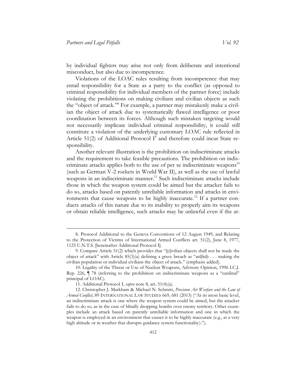by individual fighters may arise not only from deliberate and intentional misconduct, but also due to incompetence.

Violations of the LOAC rules resulting from incompetence that may entail responsibility for a State as a party to the conflict (as opposed to criminal responsibility for individual members of the partner force) include violating the prohibitions on making civilians and civilian objects as such the "object of attack."<sup>8</sup> For example, a partner may mistakenly make a civilian the object of attack due to systematically flawed intelligence or poor coordination between its forces. Although such mistaken targeting would not necessarily implicate individual criminal responsibility, it could still constitute a violation of the underlying customary LOAC rule reflected in Article 51(2) of Additional Protocol  $I^9$  and therefore could incur State responsibility.

Another relevant illustration is the prohibition on indiscriminate attacks and the requirement to take feasible precautions. The prohibition on indiscriminate attacks applies both to the use of per se indiscriminate weapons $10$ (such as German V-2 rockets in World War II), as well as the use of lawful weapons in an indiscriminate manner.<sup>11</sup> Such indiscriminate attacks include those in which the weapon system could be aimed but the attacker fails to do so, attacks based on patently unreliable information and attacks in environments that cause weapons to be highly inaccurate.<sup>12</sup> If a partner conducts attacks of this nature due to its inability to properly aim its weapons or obtain reliable intelligence, such attacks may be unlawful even if the at-

<sup>8</sup>. Protocol Additional to the Geneva Conventions of 12 August 1949, and Relating to the Protection of Victims of International Armed Conflicts art. 51(2), June 8, 1977, 1125 U.N.T.S. [hereinafter Additional Protocol I].

<sup>9.</sup> Compare Article 51(2) which provides that "[c]ivilian objects shall not be made the object of attack" with Article 85(3)(a) defining a grave breach as "*willfully* . . . making the civilian population or individual civilians the object of attack." (emphasis added).

<sup>10.</sup> Legality of the Threat or Use of Nuclear Weapons, Advisory Opinion, 1996 I.C.J. Rep. 226, ¶ 78 (referring to the prohibition on indiscriminate weapons as a "cardinal" principal of LOAC).

<sup>11.</sup> Additional Protocol I, *supra* note 8, art. 51(4)(a).

<sup>12.</sup> Christopher J. Markham & Michael N. Schmitt, *Precision Air Warfare and the Law of Armed Conflict*, 89 INTERNATIONAL LAW STUDIES 669, 681 (2013) ("At its most basic level, an indiscriminate attack is one where the weapon system could be aimed, but the attacker fails to do so, as in the case of blindly dropping bombs over enemy territory. Other examples include an attack based on patently unreliable information and one in which the weapon is employed in an environment that causes it to be highly inaccurate (e.g., at a very high altitude or in weather that disrupts guidance system functionality).").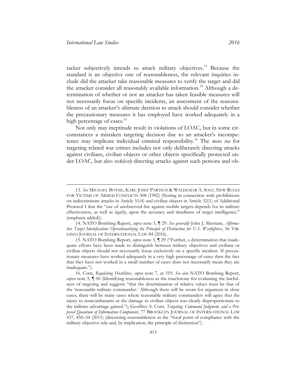tacker subjectively intends to attack military objectives.<sup>13</sup> Because the standard is an objective one of reasonableness, the relevant inquiries include did the attacker take reasonable measures to verify the target and did the attacker consider all reasonably available information.<sup>14</sup> Although a determination of whether or not an attacker has taken feasible measures will not necessarily focus on specific incidents, an assessment of the reasonableness of an attacker's ultimate decision to attack should consider whether the precautionary measures it has employed have worked adequately in a high percentage of cases.<sup>15</sup>

Not only may ineptitude result in violations of LOAC, but in some circumstances a mistaken targeting decision due to an attacker's incompetence may implicate individual criminal responsibility.<sup>16</sup> The *mens rea* for targeting related war crimes includes not only deliberately directing attacks against civilians, civilian objects or other objects specifically protected under LOAC, but also *recklessly* directing attacks against such persons and ob-

<sup>13.</sup> *See* MICHAEL BOTHE, KARL JOSEF PARTSCH & WALDEMAR A. SOLF, NEW RULES FOR VICTIMS OF ARMED CONFLICTS 308 (1982) (Noting in connection with prohibitions on indiscriminate attacks in Article 51(4) and civilian objects in Article 52(1) of Additional Protocol I that the "use of unobserved fire against mobile targets depends for its military effectiveness, as well as *legality*, upon the accuracy and timeliness of target intelligence." (emphasis added)).

<sup>14.</sup> NATO Bombing Report, *supra* note 5, ¶ 29. *See generally* John J. Merriam, *Affirmative Target Identification: Operationalizing the Principle of Distinction for U.S. Warfighters*, 56 VIR-GINIA JOURNAL OF INTERNATIONAL LAW 84 (2016).

<sup>15.</sup> NATO Bombing Report, *supra* note 5, ¶ 29 ("Further, a determination that inadequate efforts have been made to distinguish between military objectives and civilians or civilian objects should not necessarily focus exclusively on a specific incident. If precautionary measures have worked adequately in a very high percentage of cases then the fact that they have not worked in a small number of cases does not necessarily mean they are inadequate.").

<sup>16.</sup> Corn, *Regulating Hostilities*, *supra* note 7, at 319. *See also* NATO Bombing Report, *supra* note 5, ¶ 50 (Identifying reasonableness as the touchstone for evaluating the lawfulness of targeting and suggests "that the determination of relative values must be that of the 'reasonable military commander.' Although there will be room for argument in close cases, there will be many cases where reasonable military commanders will agree that the injury to noncombatants or the damage to civilian objects was clearly disproportionate to the military advantage gained."); Geoffrey S. Corn, *Targeting, Command Judgment, and a Proposed Quantum of Information Component*, 77 BROOKLYN JOURNAL OF INTERNATIONAL LAW 437, 450–54 (2011) (discussing reasonableness as the "focal point of compliance with the military objective rule and, by implication, the principle of distinction").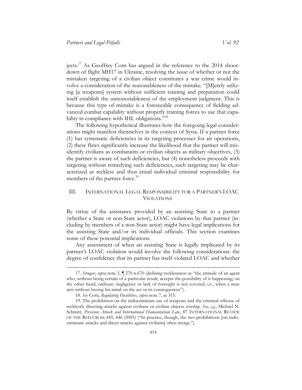jects.<sup>17</sup> As Geoffrey Corn has argued in the reference to the 2014 shootdown of flight MH17 in Ukraine, resolving the issue of whether or not the mistaken targeting of a civilian object constitutes a war crime would involve a consideration of the reasonableness of the mistake. "[M]erely utilizing [a weapons] system without sufficient training and preparation could itself establish the unreasonableness of the employment judgment. This is because this type of mistake is a foreseeable consequence of fielding advanced combat capability without properly training forces to use that capability in compliance with IHL obligations."<sup>18</sup>

The following hypothetical illustrates how the foregoing legal considerations might manifest themselves in the context of Syria. If a partner force (1) has systematic deficiencies in its targeting processes for air operations, (2) these flaws significantly increase the likelihood that the partner will misidentify civilians as combatants or civilian objects as military objectives, (3) the partner is aware of such deficiencies, but (4) nonetheless proceeds with targeting without remedying such deficiencies, such targeting may be characterized as reckless and thus entail individual criminal responsibility for members of the partner force.<sup>19</sup>

### <span id="page-8-0"></span>III. INTERNATIONAL LEGAL RESPONSIBILITY FOR A PARTNER'S LOAC VIOLATIONS

By virtue of the assistance provided by an assisting State to a partner (whether a State or non-State actor), LOAC violations by that partner (including by members of a non-State actor) might have legal implications for the assisting State and/or its individual officials. This section examines some of these potential implications.

Any assessment of when an assisting State is legally implicated by its partner's LOAC violation would involve the following considerations: the degree of confidence that its partner has itself violated LOAC and whether

<sup>17.</sup> *Strugar*, *supra* note 5, ¶ 270 n.670 (defining recklessness as "the attitude of an agent who, without being certain of a particular result, accepts the possibility of it happening; on the other hand, ordinary negligence or lack of foresight is not covered, i.e., when a man acts without having his mind on the act or its consequences").

<sup>18.</sup> *See* Corn, *Regulating Hostilities*, *supra* note 7, at 315.

<sup>19.</sup> The prohibition on the indiscriminate use of weapons and the criminal offense of recklessly directing attacks against civilians or civilian objects overlap. *See, e.g.*, Michael N. Schmitt, *Precision Attack and International Humanitarian Law*, 87 INTERNATIONAL REVIEW OF THE RED CROSS 445, 446 (2005) ("In practice, though, the two prohibitions [on indiscriminate attacks and direct attacks against civilians] often merge.").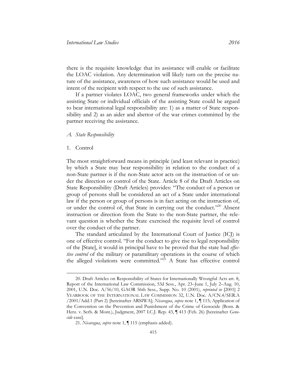there is the requisite knowledge that its assistance will enable or facilitate the LOAC violation. Any determination will likely turn on the precise nature of the assistance, awareness of how such assistance would be used and intent of the recipient with respect to the use of such assistance.

If a partner violates LOAC, two general frameworks under which the assisting State or individual officials of the assisting State could be argued to bear international legal responsibility are: 1) as a matter of State responsibility and 2) as an aider and abettor of the war crimes committed by the partner receiving the assistance.

#### <span id="page-9-0"></span>*A. State Responsibility*

#### <span id="page-9-1"></span>1. Control

 $\overline{a}$ 

The most straightforward means in principle (and least relevant in practice) by which a State may bear responsibility in relation to the conduct of a non-State partner is if the non-State actor acts on the instruction of or under the direction or control of the State. Article 8 of the Draft Articles on State Responsibility (Draft Articles) provides: "The conduct of a person or group of persons shall be considered an act of a State under international law if the person or group of persons is in fact acting on the instruction of, or under the control of, that State in carrying out the conduct."<sup>20</sup> Absent instruction or direction from the State to the non-State partner, the relevant question is whether the State exercised the requisite level of control over the conduct of the partner.

The standard articulated by the International Court of Justice (ICJ) is one of effective control. "For the conduct to give rise to legal responsibility of the [State], it would in principal have to be proved that the state had *effective control* of the military or paramilitary operations in the course of which the alleged violations were committed."<sup>21</sup> A State has effective control

<sup>20.</sup> Draft Articles on Responsibility of States for Internationally Wrongful Acts art. 8, Report of the International Law Commission, 53d Sess., Apr. 23–June 1, July 2–Aug. 10, 2001, U.N. Doc. A/56/10, GAOR 56th Sess., Supp. No. 10 (2001), *reprinted in* [2001] 2 YEARBOOK OF THE INTERNATIONAL LAW COMMISSION 32, U.N. Doc. A/CN.4/SER.A /2001/Add.1 (Part 2) [hereinafter ARSIWA]; *Nicaragua*, *supra* note 1, ¶ 115; Application of the Convention on the Prevention and Punishment of the Crime of Genocide (Bosn. & Herz. v. Serb. & Mont.), Judgment, 2007 I.C.J. Rep. 43, ¶ 413 (Feb. 26) [hereinafter *Genocide* case].

<sup>21.</sup> *Nicaragua*, *supra* note 1, ¶ 115 (emphasis added).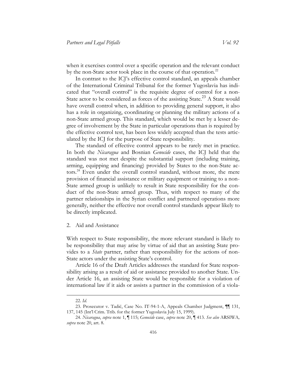when it exercises control over a specific operation and the relevant conduct by the non-State actor took place in the course of that operation.<sup>22</sup>

In contrast to the ICJ's effective control standard, an appeals chamber of the International Criminal Tribunal for the former Yugoslavia has indicated that "overall control" is the requisite degree of control for a non-State actor to be considered as forces of the assisting State.<sup>23</sup> A State would have overall control when, in addition to providing general support, it also has a role in organizing, coordinating or planning the military actions of a non-State armed group. This standard, which would be met by a lesser degree of involvement by the State in particular operations than is required by the effective control test, has been less widely accepted than the tests articulated by the ICJ for the purpose of State responsibility.

The standard of effective control appears to be rarely met in practice. In both the *Nicaragua* and Bosnian *Genocide* cases, the ICJ held that the standard was not met despite the substantial support (including training, arming, equipping and financing) provided by States to the non-State actors.<sup>24</sup> Even under the overall control standard, without more, the mere provision of financial assistance or military equipment or training to a non-State armed group is unlikely to result in State responsibility for the conduct of the non-State armed group. Thus, with respect to many of the partner relationships in the Syrian conflict and partnered operations more generally, neither the effective nor overall control standards appear likely to be directly implicated.

#### <span id="page-10-0"></span>2. Aid and Assistance

With respect to State responsibility, the more relevant standard is likely to be responsibility that may arise by virtue of aid that an assisting State provides to a *State* partner, rather than responsibility for the actions of non-State actors under the assisting State's control.

Article 16 of the Draft Articles addresses the standard for State responsibility arising as a result of aid or assistance provided to another State. Under Article 16, an assisting State would be responsible for a violation of international law if it aids or assists a partner in the commission of a viola-

<sup>22.</sup> *Id.*

<sup>23.</sup> Prosecutor v. Tadić, Case No. IT-94-1-A, Appeals Chamber Judgment, ¶¶ 131, 137, 145 (Int'l Crim. Trib. for the former Yugoslavia July 15, 1999).

<sup>24.</sup> *Nicaragua*, *supra* note 1, ¶ 115; *Genocide* case, *supra* note 20, ¶ 413. *See also* ARSIWA*, supra* note 20, art. 8.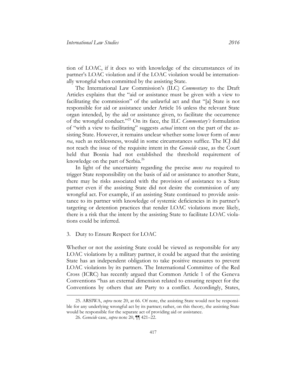tion of LOAC, if it does so with knowledge of the circumstances of its partner's LOAC violation and if the LOAC violation would be internationally wrongful when committed by the assisting State.

The International Law Commission's (ILC) *Commentary* to the Draft Articles explains that the "aid or assistance must be given with a view to facilitating the commission" of the unlawful act and that "[a] State is not responsible for aid or assistance under Article 16 unless the relevant State organ intended, by the aid or assistance given, to facilitate the occurrence of the wrongful conduct."<sup>25</sup> On its face, the ILC *Commentary's* formulation of "with a view to facilitating" suggests *actual* intent on the part of the assisting State. However, it remains unclear whether some lower form of *mens rea*, such as recklessness, would in some circumstances suffice. The ICJ did not reach the issue of the requisite intent in the *Genocide* case, as the Court held that Bosnia had not established the threshold requirement of knowledge on the part of Serbia.<sup>26</sup>

In light of the uncertainty regarding the precise *mens rea* required to trigger State responsibility on the basis of aid or assistance to another State, there may be risks associated with the provision of assistance to a State partner even if the assisting State did not desire the commission of any wrongful act. For example, if an assisting State continued to provide assistance to its partner with knowledge of systemic deficiencies in its partner's targeting or detention practices that render LOAC violations more likely, there is a risk that the intent by the assisting State to facilitate LOAC violations could be inferred.

#### <span id="page-11-0"></span>3. Duty to Ensure Respect for LOAC

Whether or not the assisting State could be viewed as responsible for any LOAC violations by a military partner, it could be argued that the assisting State has an independent obligation to take positive measures to prevent LOAC violations by its partners. The International Committee of the Red Cross (ICRC) has recently argued that Common Article 1 of the Geneva Conventions "has an external dimension related to ensuring respect for the Conventions by others that are Party to a conflict. Accordingly, States,

<sup>25.</sup> ARSIWA, *supra* note 20, at 66. Of note, the assisting State would not be responsible for any underlying wrongful act by its partner; rather, on this theory, the assisting State would be responsible for the separate act of providing aid or assistance.

<sup>26.</sup> *Genocide* case, *supra* note 20, ¶¶ 421–22.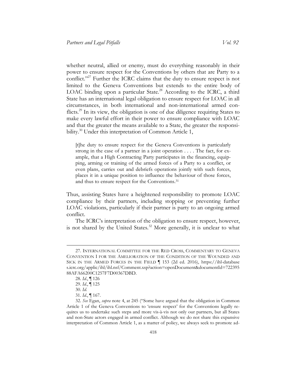whether neutral, allied or enemy, must do everything reasonably in their power to ensure respect for the Conventions by others that are Party to a conflict."<sup>27</sup> Further the ICRC claims that the duty to ensure respect is not limited to the Geneva Conventions but extends to the entire body of LOAC binding upon a particular State.<sup>28</sup> According to the ICRC, a third State has an international legal obligation to ensure respect for LOAC in all circumstances, in both international and non-international armed conflicts.<sup>29</sup> In its view, the obligation is one of due diligence requiring States to make every lawful effort in their power to ensure compliance with LOAC and that the greater the means available to a State, the greater the responsibility.<sup>30</sup> Under this interpretation of Common Article 1,

[t]he duty to ensure respect for the Geneva Conventions is particularly strong in the case of a partner in a joint operation . . . . The fact, for example, that a High Contracting Party participates in the financing, equipping, arming or training of the armed forces of a Party to a conflict, or even plans, carries out and debriefs operations jointly with such forces, places it in a unique position to influence the behaviour of those forces, and thus to ensure respect for the Conventions.<sup>31</sup>

Thus, assisting States have a heightened responsibility to promote LOAC compliance by their partners, including stopping or preventing further LOAC violations, particularly if their partner is party to an ongoing armed conflict.

The ICRC's interpretation of the obligation to ensure respect, however, is not shared by the United States.<sup>32</sup> More generally, it is unclear to what

<sup>27.</sup> INTERNATIONAL COMMITTEE FOR THE RED CROSS, COMMENTARY TO GENEVA CONVENTION I FOR THE AMELIORATION OF THE CONDITION OF THE WOUNDED AND SICK IN THE ARMED FORCES IN THE FIELD ¶ 153 (2d ed. 2016), [https://ihl-database](https://ihl-databases.icrc.org/applic/ihl/ihl.nsf/Comment.xsp?action=openDocument&documentId=72239588AFA66200C1257F7D00367DBD)  [s.icrc.org/applic/ihl/ihl.nsf/Comment.xsp?action=openDocument&documentId=722395](https://ihl-databases.icrc.org/applic/ihl/ihl.nsf/Comment.xsp?action=openDocument&documentId=72239588AFA66200C1257F7D00367DBD) [88AFA66200C1257F7D00367DBD.](https://ihl-databases.icrc.org/applic/ihl/ihl.nsf/Comment.xsp?action=openDocument&documentId=72239588AFA66200C1257F7D00367DBD)

<sup>28.</sup> *Id.*, ¶ 126

<sup>29.</sup> *Id.*, ¶ 125

<sup>30.</sup> *Id.*

<sup>31.</sup> *Id.*, ¶ 167.

<sup>32.</sup> *See* Egan, *supra* note 4, at 245 ("Some have argued that the obligation in Common Article 1 of the Geneva Conventions to 'ensure respect' for the Conventions legally requires us to undertake such steps and more vis-à-vis not only our partners, but all States and non-State actors engaged in armed conflict. Although we do not share this expansive interpretation of Common Article 1, as a matter of policy, we always seek to promote ad-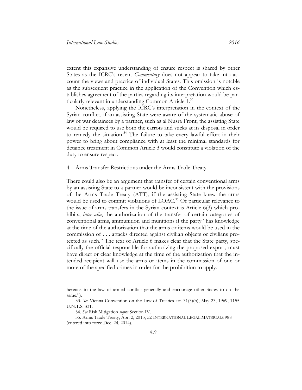extent this expansive understanding of ensure respect is shared by other States as the ICRC's recent *Commentary* does not appear to take into account the views and practice of individual States. This omission is notable as the subsequent practice in the application of the Convention which establishes agreement of the parties regarding its interpretation would be particularly relevant in understanding Common Article 1.<sup>33</sup>

Nonetheless, applying the ICRC's interpretation in the context of the Syrian conflict, if an assisting State were aware of the systematic abuse of law of war detainees by a partner, such as al Nusra Front, the assisting State would be required to use both the carrots and sticks at its disposal in order to remedy the situation.<sup>34</sup> The failure to take every lawful effort in their power to bring about compliance with at least the minimal standards for detainee treatment in Common Article 3 would constitute a violation of the duty to ensure respect.

<span id="page-13-0"></span>4. Arms Transfer Restrictions under the Arms Trade Treaty

There could also be an argument that transfer of certain conventional arms by an assisting State to a partner would be inconsistent with the provisions of the Arms Trade Treaty (ATT), if the assisting State knew the arms would be used to commit violations of LOAC.<sup>35</sup> Of particular relevance to the issue of arms transfers in the Syrian context is Article 6(3) which prohibits, *inter alia*, the authorization of the transfer of certain categories of conventional arms, ammunition and munitions if the party "has knowledge at the time of the authorization that the arms or items would be used in the commission of . . . attacks directed against civilian objects or civilians protected as such." The text of Article 6 makes clear that the State party, specifically the official responsible for authorizing the proposed export, must have direct or clear knowledge at the time of the authorization that the intended recipient will use the arms or items in the commission of one or more of the specified crimes in order for the prohibition to apply.

herence to the law of armed conflict generally and encourage other States to do the same.").

<sup>33.</sup> *See* Vienna Convention on the Law of Treaties art. 31(3)(b), May 23, 1969, 1155 U.N.T.S. 331.

<sup>34.</sup> *See* Risk Mitigation *supra* Section IV.

<sup>35.</sup> Arms Trade Treaty, Apr. 2, 2013, 52 INTERNATIONAL LEGAL MATERIALS 988 (entered into force Dec. 24, 2014).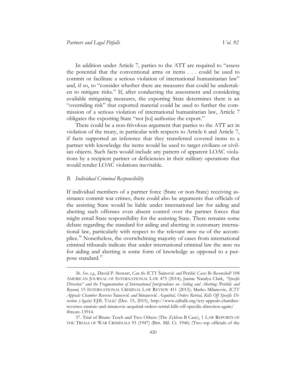In addition under Article 7, parties to the ATT are required to "assess the potential that the conventional arms or items . . . could be used to commit or facilitate a serious violation of international humanitarian law" and, if so, to "consider whether there are measures that could be undertaken to mitigate risks." If, after conducting the assessment and considering available mitigating measures, the exporting State determines there is an "overriding risk" that exported material could be used to further the commission of a serious violation of international humanitarian law, Article 7 obligates the exporting State "not [to] authorize the export."

There could be a non-frivolous argument that parties to the ATT act in violation of the treaty, in particular with respects to Article 6 and Article 7, if facts supported an inference that they transferred covered items to a partner with knowledge the items would be used to target civilians or civilian objects. Such facts would include any pattern of apparent LOAC violations by a recipient partner or deficiencies in their military operations that would render LOAC violations inevitable.

#### <span id="page-14-0"></span>*B. Individual Criminal Responsibility*

 $\overline{a}$ 

If individual members of a partner force (State or non-State) receiving assistance commit war crimes, there could also be arguments that officials of the assisting State would be liable under international law for aiding and abetting such offenses even absent control over the partner forces that might entail State responsibility for the assisting State. There remains some debate regarding the standard for aiding and abetting in customary international law, particularly with respect to the relevant *mens rea* of the accomplice.<sup>36</sup> Nonetheless, the overwhelming majority of cases from international criminal tribunals indicate that under international criminal law the *mens rea* for aiding and abetting is some form of knowledge as opposed to a purpose standard. $37$ 

<sup>36.</sup> *See, e.g.*, David P. Stewart, *Can the ICTY* Šainović *and* Perišić *Cases Be Reconciled?* 108 AMERICAN JOURNAL OF INTERNATIONAL LAW 475 (2014); Janine Natalya Clark, *"Specific Direction" and the Fragmentation of International Jurisprudence on Aiding and Abetting:* Perišić *and Beyond*, 15 INTERNATIONAL CRIMINAL LAW REVIEW 411 (2015); Marko Milanovic, *ICTY Appeals Chamber Reverses* Šainović *and* Simatović *Acquittal, Orders Retrial, Kills Off Specific Direction (Again)* EJIL TALK! (Dec. 15, 2015), [http://www.ejiltalk.org/icty-appeals-chamber](http://www.ejiltalk.org/icty-appeals-chamber-reverses-stanisic-and-simatovic-acquittal-orders-retrial-kills-off-specific-direction-again/#more-13914)[reverses-stanisic-and-simatovic-acquittal-orders-retrial-kills-off-specific-direction-again/](http://www.ejiltalk.org/icty-appeals-chamber-reverses-stanisic-and-simatovic-acquittal-orders-retrial-kills-off-specific-direction-again/#more-13914)  [#more-13914.](http://www.ejiltalk.org/icty-appeals-chamber-reverses-stanisic-and-simatovic-acquittal-orders-retrial-kills-off-specific-direction-again/#more-13914)

<sup>37.</sup> Trial of Bruno Tesch and Two Others (The Zyklon B Case), 1 LAW REPORTS OF THE TRIALS OF WAR CRIMINALS 93 (1947) (Brit. Mil. Ct. 1946) (Two top officials of the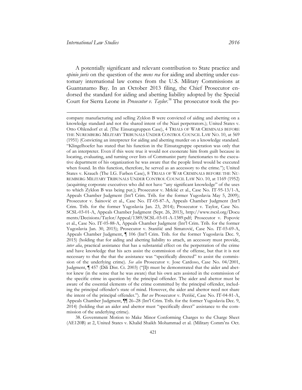A potentially significant and relevant contribution to State practice and *opinio juris* on the question of the *mens rea* for aiding and abetting under customary international law comes from the U.S. Military Commissions at Guantanamo Bay. In an October 2013 filing, the Chief Prosecutor endorsed the standard for aiding and abetting liability adopted by the Special Court for Sierra Leone in *Prosecutor v. Taylor*. <sup>38</sup> The prosecutor took the po-

38. Government Motion to Make Minor Conforming Charges to the Charge Sheet (AE120B) at 2, United States v. Khalid Shaikh Mohammad et al. (Military Comm'ns Oct.

company manufacturing and selling Zyklon B were convicted of aiding and abetting on a knowledge standard and not the shared intent of the Nazi perpetrators.); United States v. Otto Ohlendorf et al. (The Einsatzgruppen Case), 4 TRIALS OF WAR CRIMINALS BEFORE THE NUREMBERG MILITARY TRIBUNALS UNDER CONTROL COUNCIL LAW NO. 10, at 569 (1951) (Convicting an interpreter for aiding and abetting murder on a knowledge standard. "Klingelhoefer has stated that his function in the Einsatzgruppe operation was only that of an interpreter. Even if this were true it would not exonerate him from guilt because in locating, evaluating, and turning over lists of Communist party functionaries to the executive department of his organization he was aware that the people listed would be executed when found. In this function, therefore, he served as an accessory to the crime."); United States v. Krauch (The I.G. Farben Case), 8 TRIALS OF WAR CRIMINALS BEFORE THE NU-REMBERG MILITARY TRIBUNALS UNDER CONTROL COUNCIL LAW NO. 10, at 1169 (1952) (acquitting corporate executives who did not have "any significant knowledge" of the uses to which Zyklon B was being put.); Prosecutor v. Mrkšić et al., Case No. IT-95-13/1-A, Appeals Chamber Judgment (Int'l Crim. Trib. for the former Yugoslavia May 5, 2009); Prosecutor v. Šainović et al., Case No. IT-05-87-A, Appeals Chamber Judgment (Int'l Crim. Trib. for the former Yugoslavia Jan. 23, 2014); Prosecutor v. Taylor, Case No. SCSL-03-01-A, Appeals Chamber Judgment (Sept. 26, 2013), [http://www.rscsl.org/Docu](http://www.rscsl.org/Documents/Decisions/Taylor/Appeal/1389/SCSL-03-01-A-1389.pdf)  [ments/Decisions/Taylor/Appeal/1389/SCSL-03-01-A-1389.pdf;](http://www.rscsl.org/Documents/Decisions/Taylor/Appeal/1389/SCSL-03-01-A-1389.pdf) Prosecutor v. Popovic et al., Case No. IT-05-88-A, Appeals Chamber Judgment (Int'l Crim. Trib. for the former Yugoslavia Jan. 30, 2015); Prosecutor v. Stanišić and Simatović, Case No. IT-03-69-A, Appeals Chamber Judgment, ¶ 106 (Int'l Crim. Trib. for the former Yugoslavia Dec. 9, 2015) (holding that for aiding and abetting liability to attach, an accessory must provide, *inter alia*, practical assistance that has a substantial effect on the perpetration of the crime and have knowledge that his acts assist the commission of the offense, but that it is not necessary to that the that the assistance was "specifically directed" to assist the commission of the underlying crime). *See also* Prosecutor v. Jose Cardoso, Case No. 04/2001, Judgment, ¶ 457 (Dili Dist. Ct. 2003) ("[I]t must be demonstrated that the aider and abettor knew (in the sense that he was aware) that his own acts assisted in the commission of the specific crime in question by the principal offender. The aider and abettor must be aware of the essential elements of the crime committed by the principal offender, including the principal offender's state of mind. However, the aider and abettor need not share the intent of the principal offender."). *But see* Prosecutor v. Perišić, Case No. IT-04-81-A, Appeals Chamber Judgment,  $\P$  26–28 (Int'l Crim. Trib. for the former Yugoslavia Dec. 9, 2014) (holding that an aider and abettor must "specifically direct" assistance to the commission of the underlying crime).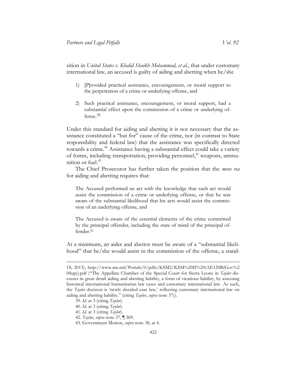sition in *United States v. Khalid Shaikh Mohammad, et al.*, that under customary international law, an accused is guilty of aiding and abetting when he/she

- 1) [P]rovided practical assistance, encouragement, or moral support to the perpetration of a crime or underlying offense, and
- 2) Such practical assistance, encouragement, or moral support, had a substantial effect upon the commission of a crime or underlying offense.39

Under this standard for aiding and abetting it is not necessary that the assistance constituted a "but for" cause of the crime, nor (in contrast to State responsibility and federal law) that the assistance was specifically directed towards a crime.<sup>40</sup> Assistance having a substantial effect could take a variety of forms, including transportation, providing personnel,<sup>41</sup> weapons, ammunition or fuel. $42$ 

The Chief Prosecutor has further taken the position that the *mens rea* for aiding and abetting requires that:

The Accused performed an act with the knowledge that such act would assist the commission of a crime or underlying offense, or that he was aware of the substantial likelihood that his acts would assist the commission of an underlying offense, and

The Accused is aware of the essential elements of the crime committed by the principal offender, including the state of mind of the principal offender.<sup>43</sup>

At a minimum, an aider and abettor must be aware of a "substantial likelihood" that he/she would assist in the commission of the offense, a stand-

<sup>18, 2013),</sup> [http://www.mc.mil/Portals/0/pdfs/KSM2/KSM%20II%20\(AE120B\(Gov%2](http://www.mc.mil/Portals/0/pdfs/KSM2/KSM%20II%20(AE120B(Gov%20Sup)).pdf)  [0Sup\)\).pdf](http://www.mc.mil/Portals/0/pdfs/KSM2/KSM%20II%20(AE120B(Gov%20Sup)).pdf) ("The Appellate Chamber of the Special Court for Sierra Leone in *Taylor* discusses in great detail aiding and abetting liability, a form of vicarious liability, by assessing historical international humanitarian law cases and customary international law. As such, the *Taylor* decision is 'newly decided case law,' reflecting customary international law on aiding and abetting liability." (citing *Taylor*, *supra* note 37)).

<sup>39.</sup> *Id.* at 3 (citing *Taylor*).

<sup>40.</sup> *Id.* at 3 (citing *Taylor*).

<sup>41.</sup> *Id.* at 3 (citing *Taylor*).

<sup>42.</sup> *Taylor*, *supra* note 37, ¶ 369.

<sup>43.</sup> Government Motion, *supra* note 38, at 4.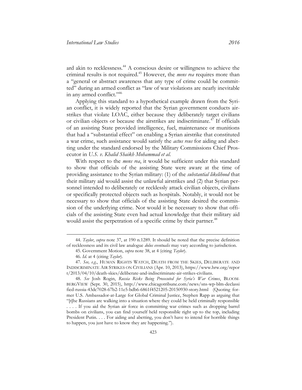ard akin to recklessness.<sup>44</sup> A conscious desire or willingness to achieve the criminal results is not required.<sup>45</sup> However, the *mens rea* requires more than a "general or abstract awareness that any type of crime could be committed" during an armed conflict as "law of war violations are nearly inevitable in any armed conflict."<sup>46</sup>

Applying this standard to a hypothetical example drawn from the Syrian conflict, it is widely reported that the Syrian government conducts airstrikes that violate LOAC, either because they deliberately target civilians or civilian objects or because the airstrikes are indiscriminate.<sup>47</sup> If officials of an assisting State provided intelligence, fuel, maintenance or munitions that had a "substantial effect" on enabling a Syrian airstrike that constituted a war crime, such assistance would satisfy the *actus reus* for aiding and abetting under the standard endorsed by the Military Commissions Chief Prosecutor in *U.S. v. Khalid Shaikh Mohammad et al*.

With respect to the *mens rea*, it would be sufficient under this standard to show that officials of the assisting State were aware at the time of providing assistance to the Syrian military: (1) of the *substantial likelihood* that their military aid would assist the unlawful airstrikes and (2) that Syrian personnel intended to deliberately or recklessly attack civilian objects, civilians or specifically protected objects such as hospitals. Notably, it would not be necessary to show that officials of the assisting State desired the commission of the underlying crime. Nor would it be necessary to show that officials of the assisting State even had actual knowledge that their military aid would assist the perpetration of a specific crime by their partner.<sup>48</sup>

<sup>44.</sup> *Taylor*, *supra* note 37, at 190 n.1289. It should be noted that the precise definition of recklessness and its civil law analogue *dolus eventualis* may vary according to jurisdiction.

<sup>45.</sup> Government Motion, *supra* note 38, at 4 (citing *Taylor*).

<sup>46.</sup> *Id.* at 4 (citing *Taylor*).

<sup>47.</sup> *See, e.g.*, HUMAN RIGHTS WATCH, DEATH FROM THE SKIES, DELIBERATE AND INDISCRIMINATE AIR STRIKES ON CIVILIANS (Apr. 10, 2013)[, https://www.hrw.org/repor](https://www.hrw.org/report/2013/04/10/death-skies/deliberate-and-indiscriminate-air-strikes-civilians)  [t/2013/04/10/death-skies/deliberate-and-indiscriminate-air-strikes-civilians.](https://www.hrw.org/report/2013/04/10/death-skies/deliberate-and-indiscriminate-air-strikes-civilians)

<sup>48.</sup> *See* Josh Rogin, *Russia Risks Being Prosecuted for Syria's War Crimes*, BLOOM-BERGVIEW (Sept. 30, 2015), [http://www.chicagotribune.com/news/sns-wp-blm-declassi](http://www.chicagotribune.com/news/sns-wp-blm-declassified-russia-43dc7028-67b2-11e5-bdb6-6861f4521205-20150930-story.html)  [fied-russia-43dc7028-67b2-11e5-bdb6-6861f4521205-20150930-story.html](http://www.chicagotribune.com/news/sns-wp-blm-declassified-russia-43dc7028-67b2-11e5-bdb6-6861f4521205-20150930-story.html) (Quoting former U.S. Ambassador-at-Large for Global Criminal Justice, Stephen Rapp as arguing that "[t]he Russians are walking into a situation where they could be held criminally responsible . . . . If you aid the Syrian air force in committing war crimes such as dropping barrel bombs on civilians, you can find yourself held responsible right up to the top, including President Putin. . . . For aiding and abetting, you don't have to intend for horrible things to happen, you just have to know they are happening.").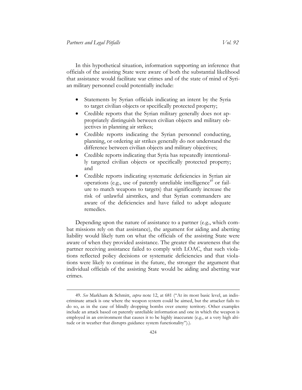In this hypothetical situation, information supporting an inference that officials of the assisting State were aware of both the substantial likelihood that assistance would facilitate war crimes and of the state of mind of Syrian military personnel could potentially include:

- Statements by Syrian officials indicating an intent by the Syria to target civilian objects or specifically protected property;
- Credible reports that the Syrian military generally does not appropriately distinguish between civilian objects and military objectives in planning air strikes;
- Credible reports indicating the Syrian personnel conducting, planning, or ordering air strikes generally do not understand the difference between civilian objects and military objectives;
- Credible reports indicating that Syria has repeatedly intentionally targeted civilian objects or specifically protected property; and
- Credible reports indicating systematic deficiencies in Syrian air operations (e.g., use of patently unreliable intelligence<sup> $49$ </sup> or failure to match weapons to targets) that significantly increase the risk of unlawful airstrikes, and that Syrian commanders are aware of the deficiencies and have failed to adopt adequate remedies.

Depending upon the nature of assistance to a partner (e.g., which combat missions rely on that assistance), the argument for aiding and abetting liability would likely turn on what the officials of the assisting State were aware of when they provided assistance. The greater the awareness that the partner receiving assistance failed to comply with LOAC, that such violations reflected policy decisions or systematic deficiencies and that violations were likely to continue in the future, the stronger the argument that individual officials of the assisting State would be aiding and abetting war crimes.

<sup>49.</sup> *See* Markham & Schmitt, *supra* note 12, at 681 ("At its most basic level, an indiscriminate attack is one where the weapon system could be aimed, but the attacker fails to do so, as in the case of blindly dropping bombs over enemy territory. Other examples include an attack based on patently unreliable information and one in which the weapon is employed in an environment that causes it to be highly inaccurate (e.g., at a very high altitude or in weather that disrupts guidance system functionality").).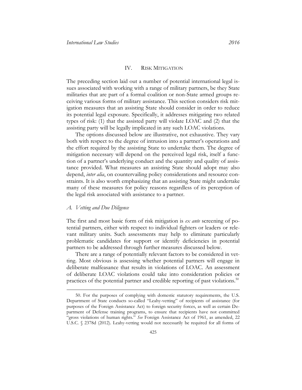#### IV. RISK MITIGATION

<span id="page-19-0"></span>The preceding section laid out a number of potential international legal issues associated with working with a range of military partners, be they State militaries that are part of a formal coalition or non-State armed groups receiving various forms of military assistance. This section considers risk mitigation measures that an assisting State should consider in order to reduce its potential legal exposure. Specifically, it addresses mitigating two related types of risk: (1) that the assisted party will violate LOAC and (2) that the assisting party will be legally implicated in any such LOAC violations.

The options discussed below are illustrative, not exhaustive. They vary both with respect to the degree of intrusion into a partner's operations and the effort required by the assisting State to undertake them. The degree of mitigation necessary will depend on the perceived legal risk, itself a function of a partner's underlying conduct and the quantity and quality of assistance provided. What measures an assisting State should adopt may also depend, *inter alia*, on countervailing policy considerations and resource constraints. It is also worth emphasizing that an assisting State might undertake many of these measures for policy reasons regardless of its perception of the legal risk associated with assistance to a partner.

#### <span id="page-19-1"></span>*A. Vetting and Due Diligence*

 $\overline{a}$ 

The first and most basic form of risk mitigation is *ex ante* screening of potential partners, either with respect to individual fighters or leaders or relevant military units. Such assessments may help to eliminate particularly problematic candidates for support or identify deficiencies in potential partners to be addressed through further measures discussed below.

There are a range of potentially relevant factors to be considered in vetting. Most obvious is assessing whether potential partners will engage in deliberate malfeasance that results in violations of LOAC. An assessment of deliberate LOAC violations could take into consideration policies or practices of the potential partner and credible reporting of past violations.<sup>50</sup>

<sup>50.</sup> For the purposes of complying with domestic statutory requirements, the U.S. Department of State conducts so-called "Leahy-vetting" of recipients of assistance (for purposes of the Foreign Assistance Act) to foreign security forces, as well as certain Department of Defense training programs, to ensure that recipients have not committed "gross violations of human rights." *See* Foreign Assistance Act of 1961, as amended, 22 U.S.C. § 2378d (2012). Leahy-vetting would not necessarily be required for all forms of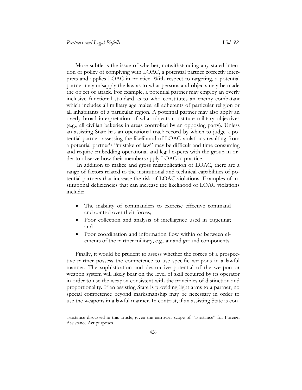More subtle is the issue of whether, notwithstanding any stated intention or policy of complying with LOAC, a potential partner correctly interprets and applies LOAC in practice. With respect to targeting, a potential partner may misapply the law as to what persons and objects may be made the object of attack. For example, a potential partner may employ an overly inclusive functional standard as to who constitutes an enemy combatant which includes all military age males, all adherents of particular religion or all inhabitants of a particular region. A potential partner may also apply an overly broad interpretation of what objects constitute military objectives (e.g., all civilian bakeries in areas controlled by an opposing party). Unless an assisting State has an operational track record by which to judge a potential partner, assessing the likelihood of LOAC violations resulting from a potential partner's "mistake of law" may be difficult and time consuming and require embedding operational and legal experts with the group in order to observe how their members apply LOAC in practice.

In addition to malice and gross misapplication of LOAC, there are a range of factors related to the institutional and technical capabilities of potential partners that increase the risk of LOAC violations. Examples of institutional deficiencies that can increase the likelihood of LOAC violations include:

- The inability of commanders to exercise effective command and control over their forces;
- Poor collection and analysis of intelligence used in targeting; and
- Poor coordination and information flow within or between elements of the partner military, e.g., air and ground components.

Finally, it would be prudent to assess whether the forces of a prospective partner possess the competence to use specific weapons in a lawful manner. The sophistication and destructive potential of the weapon or weapon system will likely bear on the level of skill required by its operator in order to use the weapon consistent with the principles of distinction and proportionality. If an assisting State is providing light arms to a partner, no special competence beyond marksmanship may be necessary in order to use the weapons in a lawful manner. In contrast, if an assisting State is con-

assistance discussed in this article, given the narrower scope of "assistance" for Foreign Assistance Act purposes.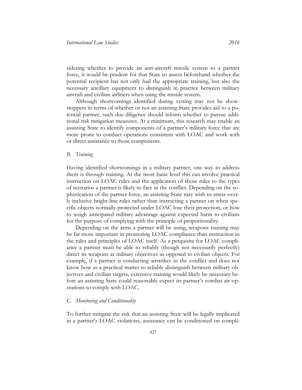sidering whether to provide an anti-aircraft missile system to a partner force, it would be prudent for that State to assess beforehand whether the potential recipient has not only had the appropriate training, but also the necessary ancillary equipment to distinguish in practice between military aircraft and civilian airliners when using the missile system.

Although shortcomings identified during vetting may not be showstoppers in terms of whether or not an assisting State provides aid to a potential partner, such due diligence should inform whether to pursue additional risk mitigation measures. At a minimum, this research may enable an assisting State to identify components of a partner's military force that are more prone to conduct operations consistent with LOAC and work with or direct assistance to those components.

#### <span id="page-21-0"></span>*B. Training*

Having identified shortcomings in a military partner, one way to address them is through training. At the most basic level this can involve practical instruction on LOAC rules and the application of those rules to the types of scenarios a partner is likely to face in the conflict. Depending on the sophistication of the partner force, an assisting State may wish to stress overly inclusive bright-line rules rather than instructing a partner on when specific objects normally protected under LOAC lose their protection, or how to weigh anticipated military advantage against expected harm to civilians for the purpose of complying with the principle of proportionality.

Depending on the arms a partner will be using, weapons training may be far more important in promoting LOAC compliance than instruction in the rules and principles of LOAC itself. As a perquisite for LOAC compliance a partner must be able to reliably (though not necessarily perfectly) direct its weapons at military objectives as opposed to civilian objects. For example, if a partner is conducting airstrikes in the conflict and does not know how as a practical matter to reliably distinguish between military objectives and civilian targets, extensive training would likely be necessary before an assisting State could reasonably expect its partner's combat air operations to comply with LOAC.

#### <span id="page-21-1"></span>*C. Monitoring and Conditionality*

To further mitigate the risk that an assisting State will be legally implicated in a partner's LOAC violations, assistance can be conditioned on compli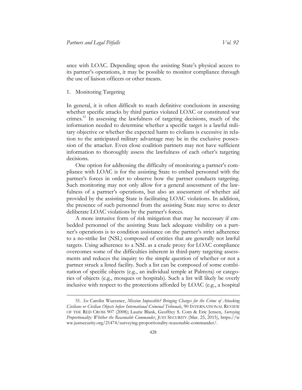ance with LOAC. Depending upon the assisting State's physical access to its partner's operations, it may be possible to monitor compliance through the use of liaison officers or other means.

<span id="page-22-0"></span>Monitoring Targeting

 $\overline{a}$ 

In general, it is often difficult to reach definitive conclusions in assessing whether specific attacks by third parties violated LOAC or constituted war crimes.<sup>51</sup> In assessing the lawfulness of targeting decisions, much of the information needed to determine whether a specific target is a lawful military objective or whether the expected harm to civilians is excessive in relation to the anticipated military advantage may be in the exclusive possession of the attacker. Even close coalition partners may not have sufficient information to thoroughly assess the lawfulness of each other's targeting decisions.

One option for addressing the difficulty of monitoring a partner's compliance with LOAC is for the assisting State to embed personnel with the partner's forces in order to observe how the partner conducts targeting. Such monitoring may not only allow for a general assessment of the lawfulness of a partner's operations, but also an assessment of whether aid provided by the assisting State is facilitating LOAC violations. In addition, the presence of such personnel from the assisting State may serve to deter deliberate LOAC violations by the partner's forces.

A more intrusive form of risk mitigation that may be necessary if embedded personnel of the assisting State lack adequate visibility on a partner's operations is to condition assistance on the partner's strict adherence to a no-strike list (NSL) composed of entities that are generally not lawful targets. Using adherence to a NSL as a crude proxy for LOAC compliance overcomes some of the difficulties inherent in third-party targeting assessments and reduces the inquiry to the simple question of whether or not a partner struck a listed facility. Such a list can be composed of some combination of specific objects (e.g., an individual temple at Palmyra) or categories of objects (e.g., mosques or hospitals). Such a list will likely be overly inclusive with respect to the protections afforded by LOAC (e.g., a hospital

<sup>51.</sup> *See* Carolin Wuerzner, *Mission Impossible? Bringing Charges for the Crime of Attacking Civilians or Civilian Objects before International Criminal Tribunals*, 90 INTERNATIONAL REVIEW OF THE RED CROSS 907 (2008); Laurie Blank, Geoffrey S. Corn & Eric Jensen, *Surveying Proportionality: Whither the Reasonable Commander*, JUST SECURITY (Mar. 25, 2015), [https://w](https://www.justsecurity.org/21474/surveying-proportionality-reasonable-commander/)  [ww.justsecurity.org/21474/surveying-proportionality-reasonable-commander/.](https://www.justsecurity.org/21474/surveying-proportionality-reasonable-commander/)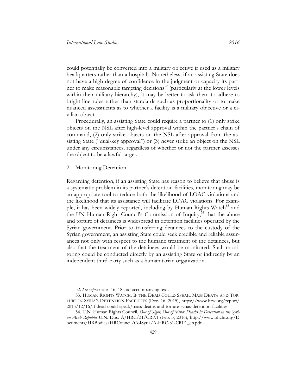could potentially be converted into a military objective if used as a military headquarters rather than a hospital). Nonetheless, if an assisting State does not have a high degree of confidence in the judgment or capacity its partner to make reasonable targeting decisions<sup>52</sup> (particularly at the lower levels within their military hierarchy), it may be better to ask them to adhere to bright-line rules rather than standards such as proportionality or to make nuanced assessments as to whether a facility is a military objective or a civilian object.

Procedurally, an assisting State could require a partner to (1) only strike objects on the NSL after high-level approval within the partner's chain of command, (2) only strike objects on the NSL after approval from the assisting State ("dual-key approval") or (3) never strike an object on the NSL under any circumstances, regardless of whether or not the partner assesses the object to be a lawful target.

#### <span id="page-23-0"></span>2. Monitoring Detention

 $\overline{a}$ 

Regarding detention, if an assisting State has reason to believe that abuse is a systematic problem in its partner's detention facilities, monitoring may be an appropriate tool to reduce both the likelihood of LOAC violations and the likelihood that its assistance will facilitate LOAC violations. For example, it has been widely reported, including by Human Rights Watch<sup>53</sup> and the UN Human Right Council's Commission of Inquiry, <sup>54</sup> that the abuse and torture of detainees is widespread in detention facilities operated by the Syrian government. Prior to transferring detainees to the custody of the Syrian government, an assisting State could seek credible and reliable assurances not only with respect to the humane treatment of the detainees, but also that the treatment of the detainees would be monitored. Such monitoring could be conducted directly by an assisting State or indirectly by an independent third-party such as a humanitarian organization.

<sup>52.</sup> *See supra* notes 16–18 and accompanying text.

<sup>53.</sup> HUMAN RIGHTS WATCH, IF THE DEAD COULD SPEAK: MASS DEATH AND TOR-TURE IN SYRIA'S DETENTION FACILITIES (Dec. 16, 2015), [https://www.hrw.org/report/](https://www.hrw.org/report/2015/12/16/if-dead-could-speak/mass-deaths-and-torture-syrias-detention-facilities)  [2015/12/16/if-dead-could-speak/mass-deaths-and-torture-syrias-detention-facilities.](https://www.hrw.org/report/2015/12/16/if-dead-could-speak/mass-deaths-and-torture-syrias-detention-facilities)

<sup>54.</sup> U.N. Human Rights Council, *Out of Sight, Out of Mind: Deaths in Detention in the Syrian Arab Republic* U.N. Doc. A/HRC/31/CRP.1 (Feb. 3, 2016), [http://www.ohchr.org/D](http://www.ohchr.org/Documents/HRBodies/HRCouncil/CoISyria/A-HRC-31-CRP1_en.pdf)  [ocuments/HRBodies/HRCouncil/CoISyria/A-HRC-31-CRP1\\_en.pdf.](http://www.ohchr.org/Documents/HRBodies/HRCouncil/CoISyria/A-HRC-31-CRP1_en.pdf)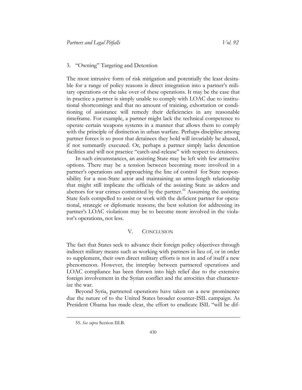#### <span id="page-24-0"></span>3. "Owning" Targeting and Detention

The most intrusive form of risk mitigation and potentially the least desirable for a range of policy reasons is direct integration into a partner's military operations or the take over of these operations. It may be the case that in practice a partner is simply unable to comply with LOAC due to institutional shortcomings and that no amount of training, exhortation or conditioning of assistance will remedy their deficiencies in any reasonable timeframe. For example, a partner might lack the technical competence to operate certain weapons systems in a manner that allows them to comply with the principle of distinction in urban warfare. Perhaps discipline among partner forces is so poor that detainees they hold will invariably be abused, if not summarily executed. Or, perhaps a partner simply lacks detention facilities and will not practice "catch-and-release" with respect to detainees.

In such circumstances, an assisting State may be left with few attractive options. There may be a tension between becoming more involved in a partner's operations and approaching the line of control for State responsibility for a non-State actor and maintaining an arms-length relationship that might still implicate the officials of the assisting State as aiders and abettors for war crimes committed by the partner.<sup>55</sup> Assuming the assisting State feels compelled to assist or work with the deficient partner for operational, strategic or diplomatic reasons; the best solution for addressing its partner's LOAC violations may be to become more involved in the violator's operations, not less.

#### V. CONCLUSION

<span id="page-24-1"></span>The fact that States seek to advance their foreign policy objectives through indirect military means such as working with partners in lieu of, or in order to supplement, their own direct military efforts is not in and of itself a new phenomenon. However, the interplay between partnered operations and LOAC compliance has been thrown into high relief due to the extensive foreign involvement in the Syrian conflict and the atrocities that characterize the war.

Beyond Syria, partnered operations have taken on a new prominence due the nature of to the United States broader counter-ISIL campaign. As President Obama has made clear, the effort to eradicate ISIL "will be dif-

<sup>55.</sup> *See supra* Section III.B.